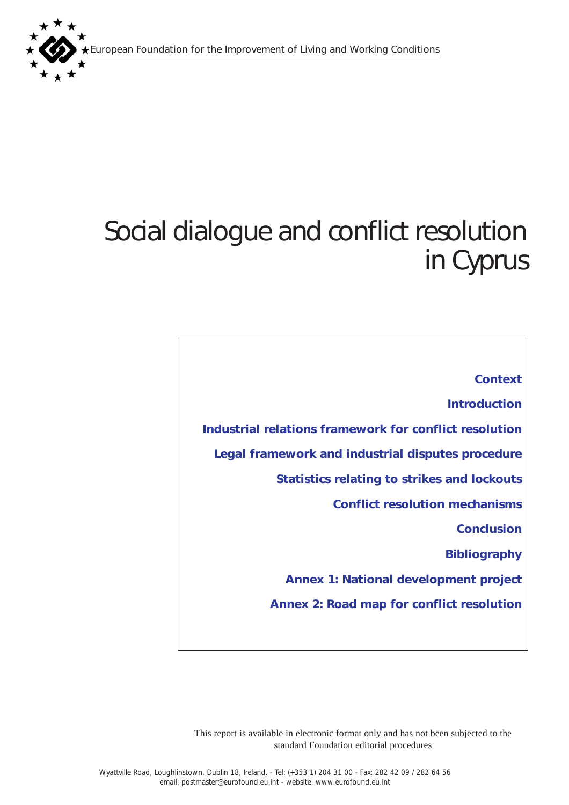European Foundation for the Improvement of Living and Working Conditions



# Social dialogue and conflict resolution in Cyprus

*[Context](#page-1-0) [Introduction](#page-1-0) [Industrial relations framework for conflict resolution](#page-2-0)  [Legal framework and industrial disputes procedure](#page-8-0) [Statistics relating to strikes and lockouts](#page-11-0) [Conflict resolution mechanisms](#page-16-0) [Conclusion](#page-18-0) [Bibliography](#page-19-0) [Annex 1: National development project](#page-20-0) [Annex 2: Road map for conflict resolution](#page-23-0)*

This report is available in electronic format only and has not been subjected to the standard Foundation editorial procedures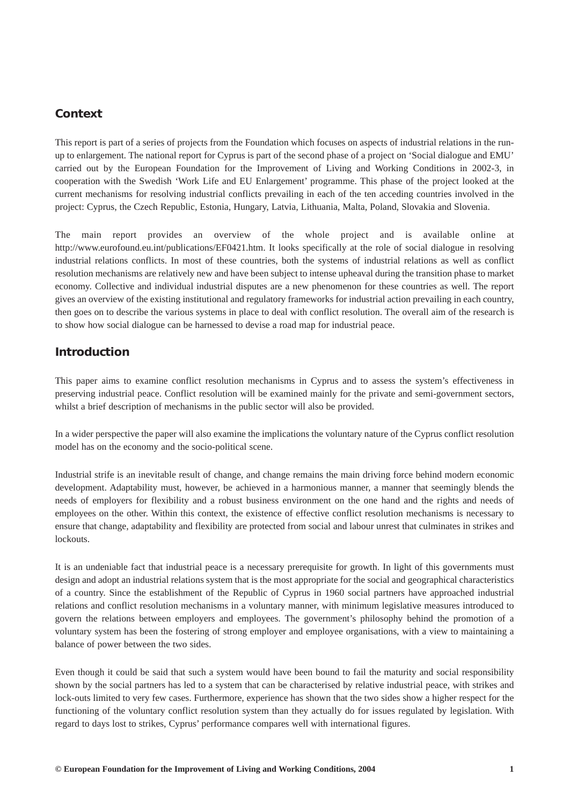# <span id="page-1-0"></span>*Context*

This report is part of a series of projects from the Foundation which focuses on aspects of industrial relations in the runup to enlargement. The national report for Cyprus is part of the second phase of a project on 'Social dialogue and EMU' carried out by the European Foundation for the Improvement of Living and Working Conditions in 2002-3, in cooperation with the Swedish 'Work Life and EU Enlargement' programme. This phase of the project looked at the current mechanisms for resolving industrial conflicts prevailing in each of the ten acceding countries involved in the project: Cyprus, the Czech Republic, Estonia, Hungary, Latvia, Lithuania, Malta, Poland, Slovakia and Slovenia.

The main report provides an overview of the whole project and is available online at http://www.eurofound.eu.int/publications/EF0421.htm. It looks specifically at the role of social dialogue in resolving industrial relations conflicts. In most of these countries, both the systems of industrial relations as well as conflict resolution mechanisms are relatively new and have been subject to intense upheaval during the transition phase to market economy. Collective and individual industrial disputes are a new phenomenon for these countries as well. The report gives an overview of the existing institutional and regulatory frameworks for industrial action prevailing in each country, then goes on to describe the various systems in place to deal with conflict resolution. The overall aim of the research is to show how social dialogue can be harnessed to devise a road map for industrial peace.

# *Introduction*

This paper aims to examine conflict resolution mechanisms in Cyprus and to assess the system's effectiveness in preserving industrial peace. Conflict resolution will be examined mainly for the private and semi-government sectors, whilst a brief description of mechanisms in the public sector will also be provided.

In a wider perspective the paper will also examine the implications the voluntary nature of the Cyprus conflict resolution model has on the economy and the socio-political scene.

Industrial strife is an inevitable result of change, and change remains the main driving force behind modern economic development. Adaptability must, however, be achieved in a harmonious manner, a manner that seemingly blends the needs of employers for flexibility and a robust business environment on the one hand and the rights and needs of employees on the other. Within this context, the existence of effective conflict resolution mechanisms is necessary to ensure that change, adaptability and flexibility are protected from social and labour unrest that culminates in strikes and lockouts.

It is an undeniable fact that industrial peace is a necessary prerequisite for growth. In light of this governments must design and adopt an industrial relations system that is the most appropriate for the social and geographical characteristics of a country. Since the establishment of the Republic of Cyprus in 1960 social partners have approached industrial relations and conflict resolution mechanisms in a voluntary manner, with minimum legislative measures introduced to govern the relations between employers and employees. The government's philosophy behind the promotion of a voluntary system has been the fostering of strong employer and employee organisations, with a view to maintaining a balance of power between the two sides.

Even though it could be said that such a system would have been bound to fail the maturity and social responsibility shown by the social partners has led to a system that can be characterised by relative industrial peace, with strikes and lock-outs limited to very few cases. Furthermore, experience has shown that the two sides show a higher respect for the functioning of the voluntary conflict resolution system than they actually do for issues regulated by legislation. With regard to days lost to strikes, Cyprus' performance compares well with international figures.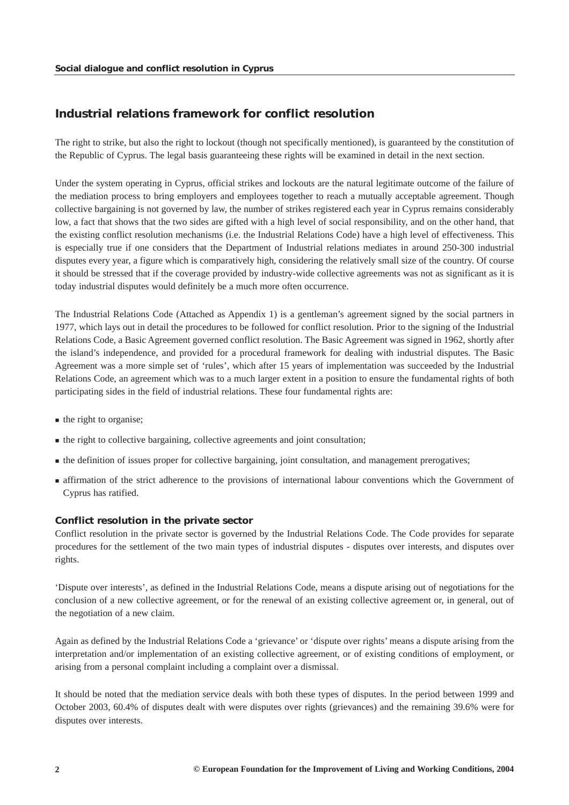# <span id="page-2-0"></span>*Industrial relations framework for conflict resolution*

The right to strike, but also the right to lockout (though not specifically mentioned), is guaranteed by the constitution of the Republic of Cyprus. The legal basis guaranteeing these rights will be examined in detail in the next section.

Under the system operating in Cyprus, official strikes and lockouts are the natural legitimate outcome of the failure of the mediation process to bring employers and employees together to reach a mutually acceptable agreement. Though collective bargaining is not governed by law, the number of strikes registered each year in Cyprus remains considerably low, a fact that shows that the two sides are gifted with a high level of social responsibility, and on the other hand, that the existing conflict resolution mechanisms (i.e. the Industrial Relations Code) have a high level of effectiveness. This is especially true if one considers that the Department of Industrial relations mediates in around 250-300 industrial disputes every year, a figure which is comparatively high, considering the relatively small size of the country. Of course it should be stressed that if the coverage provided by industry-wide collective agreements was not as significant as it is today industrial disputes would definitely be a much more often occurrence.

The Industrial Relations Code (Attached as Appendix 1) is a gentleman's agreement signed by the social partners in 1977, which lays out in detail the procedures to be followed for conflict resolution. Prior to the signing of the Industrial Relations Code, a Basic Agreement governed conflict resolution. The Basic Agreement was signed in 1962, shortly after the island's independence, and provided for a procedural framework for dealing with industrial disputes. The Basic Agreement was a more simple set of 'rules', which after 15 years of implementation was succeeded by the Industrial Relations Code, an agreement which was to a much larger extent in a position to ensure the fundamental rights of both participating sides in the field of industrial relations. These four fundamental rights are:

- $\blacksquare$  the right to organise:
- the right to collective bargaining, collective agreements and joint consultation;
- the definition of issues proper for collective bargaining, joint consultation, and management prerogatives;
- **Example 3** affirmation of the strict adherence to the provisions of international labour conventions which the Government of Cyprus has ratified.

#### *Conflict resolution in the private sector*

Conflict resolution in the private sector is governed by the Industrial Relations Code. The Code provides for separate procedures for the settlement of the two main types of industrial disputes - disputes over interests, and disputes over rights.

'Dispute over interests', as defined in the Industrial Relations Code, means a dispute arising out of negotiations for the conclusion of a new collective agreement, or for the renewal of an existing collective agreement or, in general, out of the negotiation of a new claim.

Again as defined by the Industrial Relations Code a 'grievance' or 'dispute over rights' means a dispute arising from the interpretation and/or implementation of an existing collective agreement, or of existing conditions of employment, or arising from a personal complaint including a complaint over a dismissal.

It should be noted that the mediation service deals with both these types of disputes. In the period between 1999 and October 2003, 60.4% of disputes dealt with were disputes over rights (grievances) and the remaining 39.6% were for disputes over interests.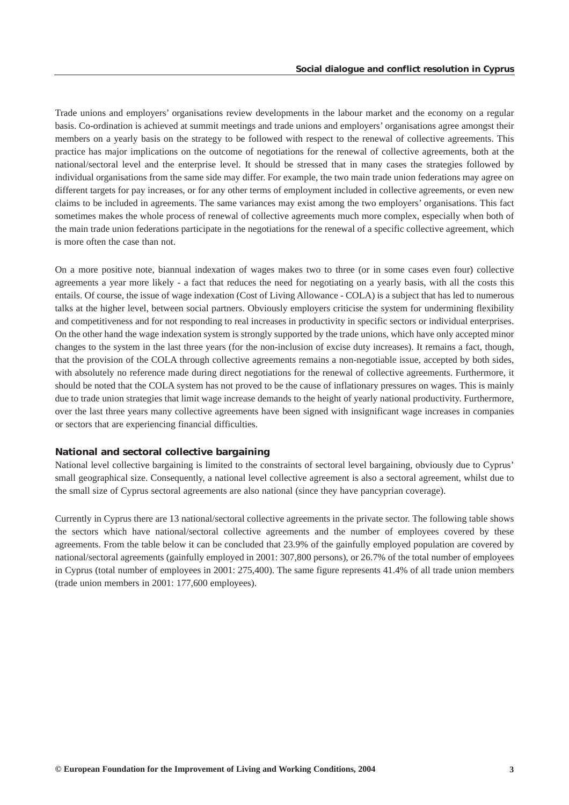Trade unions and employers' organisations review developments in the labour market and the economy on a regular basis. Co-ordination is achieved at summit meetings and trade unions and employers' organisations agree amongst their members on a yearly basis on the strategy to be followed with respect to the renewal of collective agreements. This practice has major implications on the outcome of negotiations for the renewal of collective agreements, both at the national/sectoral level and the enterprise level. It should be stressed that in many cases the strategies followed by individual organisations from the same side may differ. For example, the two main trade union federations may agree on different targets for pay increases, or for any other terms of employment included in collective agreements, or even new claims to be included in agreements. The same variances may exist among the two employers' organisations. This fact sometimes makes the whole process of renewal of collective agreements much more complex, especially when both of the main trade union federations participate in the negotiations for the renewal of a specific collective agreement, which is more often the case than not.

On a more positive note, biannual indexation of wages makes two to three (or in some cases even four) collective agreements a year more likely - a fact that reduces the need for negotiating on a yearly basis, with all the costs this entails. Of course, the issue of wage indexation (Cost of Living Allowance - COLA) is a subject that has led to numerous talks at the higher level, between social partners. Obviously employers criticise the system for undermining flexibility and competitiveness and for not responding to real increases in productivity in specific sectors or individual enterprises. On the other hand the wage indexation system is strongly supported by the trade unions, which have only accepted minor changes to the system in the last three years (for the non-inclusion of excise duty increases). It remains a fact, though, that the provision of the COLA through collective agreements remains a non-negotiable issue, accepted by both sides, with absolutely no reference made during direct negotiations for the renewal of collective agreements. Furthermore, it should be noted that the COLA system has not proved to be the cause of inflationary pressures on wages. This is mainly due to trade union strategies that limit wage increase demands to the height of yearly national productivity. Furthermore, over the last three years many collective agreements have been signed with insignificant wage increases in companies or sectors that are experiencing financial difficulties.

### *National and sectoral collective bargaining*

National level collective bargaining is limited to the constraints of sectoral level bargaining, obviously due to Cyprus' small geographical size. Consequently, a national level collective agreement is also a sectoral agreement, whilst due to the small size of Cyprus sectoral agreements are also national (since they have pancyprian coverage).

Currently in Cyprus there are 13 national/sectoral collective agreements in the private sector. The following table shows the sectors which have national/sectoral collective agreements and the number of employees covered by these agreements. From the table below it can be concluded that 23.9% of the gainfully employed population are covered by national/sectoral agreements (gainfully employed in 2001: 307,800 persons), or 26.7% of the total number of employees in Cyprus (total number of employees in 2001: 275,400). The same figure represents 41.4% of all trade union members (trade union members in 2001: 177,600 employees).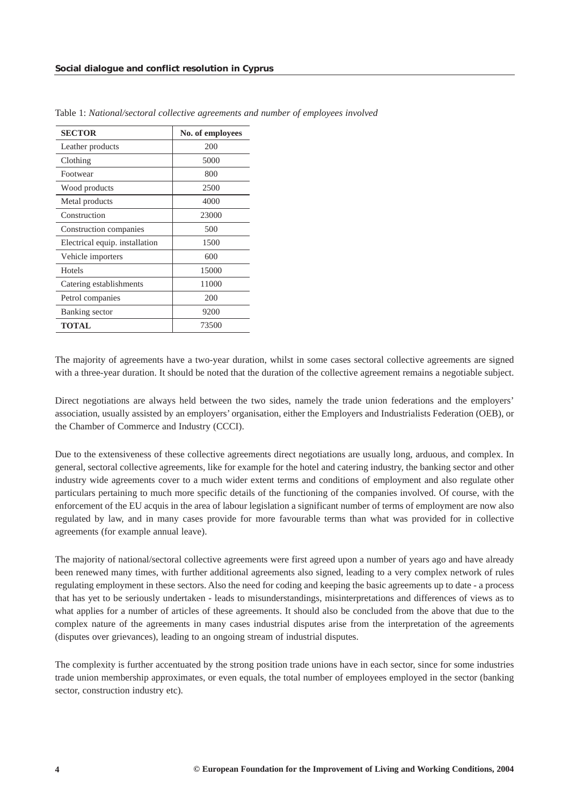| <b>SECTOR</b>                  | No. of employees |  |  |
|--------------------------------|------------------|--|--|
| Leather products               | 200              |  |  |
| Clothing                       | 5000             |  |  |
| Footwear                       | 800              |  |  |
| Wood products                  | 2500             |  |  |
| Metal products                 | 4000             |  |  |
| Construction                   | 23000            |  |  |
| Construction companies         | 500              |  |  |
| Electrical equip. installation | 1500             |  |  |
| Vehicle importers              | 600              |  |  |
| <b>Hotels</b>                  | 15000            |  |  |
| Catering establishments        | 11000            |  |  |
| Petrol companies               | 200              |  |  |
| Banking sector                 | 9200             |  |  |
| <b>TOTAL</b>                   | 73500            |  |  |

Table 1: *National/sectoral collective agreements and number of employees involved* 

The majority of agreements have a two-year duration, whilst in some cases sectoral collective agreements are signed with a three-year duration. It should be noted that the duration of the collective agreement remains a negotiable subject.

Direct negotiations are always held between the two sides, namely the trade union federations and the employers' association, usually assisted by an employers' organisation, either the Employers and Industrialists Federation (OEB), or the Chamber of Commerce and Industry (CCCI).

Due to the extensiveness of these collective agreements direct negotiations are usually long, arduous, and complex. In general, sectoral collective agreements, like for example for the hotel and catering industry, the banking sector and other industry wide agreements cover to a much wider extent terms and conditions of employment and also regulate other particulars pertaining to much more specific details of the functioning of the companies involved. Of course, with the enforcement of the EU acquis in the area of labour legislation a significant number of terms of employment are now also regulated by law, and in many cases provide for more favourable terms than what was provided for in collective agreements (for example annual leave).

The majority of national/sectoral collective agreements were first agreed upon a number of years ago and have already been renewed many times, with further additional agreements also signed, leading to a very complex network of rules regulating employment in these sectors. Also the need for coding and keeping the basic agreements up to date - a process that has yet to be seriously undertaken - leads to misunderstandings, misinterpretations and differences of views as to what applies for a number of articles of these agreements. It should also be concluded from the above that due to the complex nature of the agreements in many cases industrial disputes arise from the interpretation of the agreements (disputes over grievances), leading to an ongoing stream of industrial disputes.

The complexity is further accentuated by the strong position trade unions have in each sector, since for some industries trade union membership approximates, or even equals, the total number of employees employed in the sector (banking sector, construction industry etc).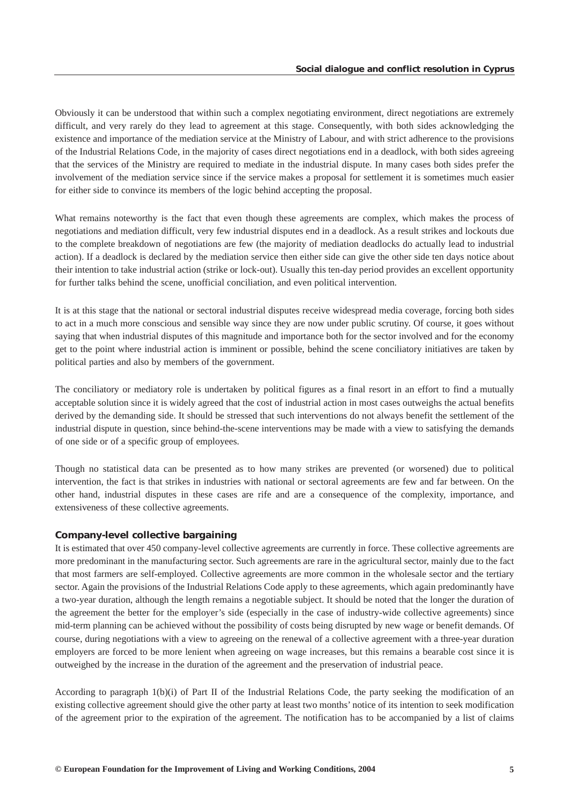Obviously it can be understood that within such a complex negotiating environment, direct negotiations are extremely difficult, and very rarely do they lead to agreement at this stage. Consequently, with both sides acknowledging the existence and importance of the mediation service at the Ministry of Labour, and with strict adherence to the provisions of the Industrial Relations Code, in the majority of cases direct negotiations end in a deadlock, with both sides agreeing that the services of the Ministry are required to mediate in the industrial dispute. In many cases both sides prefer the involvement of the mediation service since if the service makes a proposal for settlement it is sometimes much easier for either side to convince its members of the logic behind accepting the proposal.

What remains noteworthy is the fact that even though these agreements are complex, which makes the process of negotiations and mediation difficult, very few industrial disputes end in a deadlock. As a result strikes and lockouts due to the complete breakdown of negotiations are few (the majority of mediation deadlocks do actually lead to industrial action). If a deadlock is declared by the mediation service then either side can give the other side ten days notice about their intention to take industrial action (strike or lock-out). Usually this ten-day period provides an excellent opportunity for further talks behind the scene, unofficial conciliation, and even political intervention.

It is at this stage that the national or sectoral industrial disputes receive widespread media coverage, forcing both sides to act in a much more conscious and sensible way since they are now under public scrutiny. Of course, it goes without saying that when industrial disputes of this magnitude and importance both for the sector involved and for the economy get to the point where industrial action is imminent or possible, behind the scene conciliatory initiatives are taken by political parties and also by members of the government.

The conciliatory or mediatory role is undertaken by political figures as a final resort in an effort to find a mutually acceptable solution since it is widely agreed that the cost of industrial action in most cases outweighs the actual benefits derived by the demanding side. It should be stressed that such interventions do not always benefit the settlement of the industrial dispute in question, since behind-the-scene interventions may be made with a view to satisfying the demands of one side or of a specific group of employees.

Though no statistical data can be presented as to how many strikes are prevented (or worsened) due to political intervention, the fact is that strikes in industries with national or sectoral agreements are few and far between. On the other hand, industrial disputes in these cases are rife and are a consequence of the complexity, importance, and extensiveness of these collective agreements.

#### *Company-level collective bargaining*

It is estimated that over 450 company-level collective agreements are currently in force. These collective agreements are more predominant in the manufacturing sector. Such agreements are rare in the agricultural sector, mainly due to the fact that most farmers are self-employed. Collective agreements are more common in the wholesale sector and the tertiary sector. Again the provisions of the Industrial Relations Code apply to these agreements, which again predominantly have a two-year duration, although the length remains a negotiable subject. It should be noted that the longer the duration of the agreement the better for the employer's side (especially in the case of industry-wide collective agreements) since mid-term planning can be achieved without the possibility of costs being disrupted by new wage or benefit demands. Of course, during negotiations with a view to agreeing on the renewal of a collective agreement with a three-year duration employers are forced to be more lenient when agreeing on wage increases, but this remains a bearable cost since it is outweighed by the increase in the duration of the agreement and the preservation of industrial peace.

According to paragraph 1(b)(i) of Part II of the Industrial Relations Code, the party seeking the modification of an existing collective agreement should give the other party at least two months' notice of its intention to seek modification of the agreement prior to the expiration of the agreement. The notification has to be accompanied by a list of claims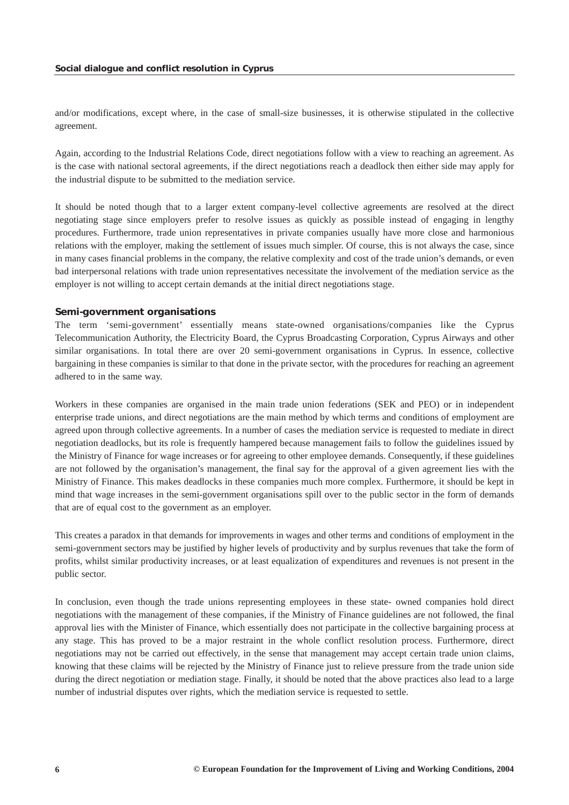and/or modifications, except where, in the case of small-size businesses, it is otherwise stipulated in the collective agreement.

Again, according to the Industrial Relations Code, direct negotiations follow with a view to reaching an agreement. As is the case with national sectoral agreements, if the direct negotiations reach a deadlock then either side may apply for the industrial dispute to be submitted to the mediation service.

It should be noted though that to a larger extent company-level collective agreements are resolved at the direct negotiating stage since employers prefer to resolve issues as quickly as possible instead of engaging in lengthy procedures. Furthermore, trade union representatives in private companies usually have more close and harmonious relations with the employer, making the settlement of issues much simpler. Of course, this is not always the case, since in many cases financial problems in the company, the relative complexity and cost of the trade union's demands, or even bad interpersonal relations with trade union representatives necessitate the involvement of the mediation service as the employer is not willing to accept certain demands at the initial direct negotiations stage.

### *Semi-government organisations*

The term 'semi-government' essentially means state-owned organisations/companies like the Cyprus Telecommunication Authority, the Electricity Board, the Cyprus Broadcasting Corporation, Cyprus Airways and other similar organisations. In total there are over 20 semi-government organisations in Cyprus. In essence, collective bargaining in these companies is similar to that done in the private sector, with the procedures for reaching an agreement adhered to in the same way.

Workers in these companies are organised in the main trade union federations (SEK and PEO) or in independent enterprise trade unions, and direct negotiations are the main method by which terms and conditions of employment are agreed upon through collective agreements. In a number of cases the mediation service is requested to mediate in direct negotiation deadlocks, but its role is frequently hampered because management fails to follow the guidelines issued by the Ministry of Finance for wage increases or for agreeing to other employee demands. Consequently, if these guidelines are not followed by the organisation's management, the final say for the approval of a given agreement lies with the Ministry of Finance. This makes deadlocks in these companies much more complex. Furthermore, it should be kept in mind that wage increases in the semi-government organisations spill over to the public sector in the form of demands that are of equal cost to the government as an employer.

This creates a paradox in that demands for improvements in wages and other terms and conditions of employment in the semi-government sectors may be justified by higher levels of productivity and by surplus revenues that take the form of profits, whilst similar productivity increases, or at least equalization of expenditures and revenues is not present in the public sector.

In conclusion, even though the trade unions representing employees in these state- owned companies hold direct negotiations with the management of these companies, if the Ministry of Finance guidelines are not followed, the final approval lies with the Minister of Finance, which essentially does not participate in the collective bargaining process at any stage. This has proved to be a major restraint in the whole conflict resolution process. Furthermore, direct negotiations may not be carried out effectively, in the sense that management may accept certain trade union claims, knowing that these claims will be rejected by the Ministry of Finance just to relieve pressure from the trade union side during the direct negotiation or mediation stage. Finally, it should be noted that the above practices also lead to a large number of industrial disputes over rights, which the mediation service is requested to settle.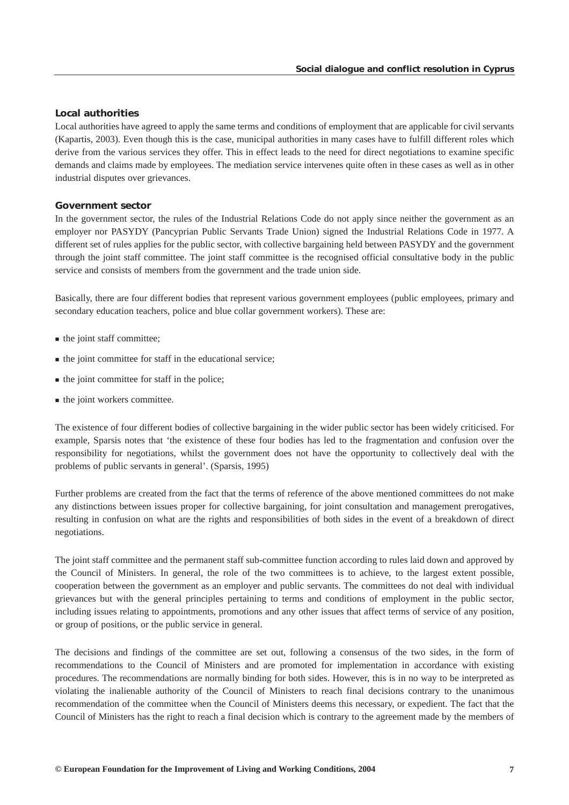# *Local authorities*

Local authorities have agreed to apply the same terms and conditions of employment that are applicable for civil servants (Kapartis, 2003). Even though this is the case, municipal authorities in many cases have to fulfill different roles which derive from the various services they offer. This in effect leads to the need for direct negotiations to examine specific demands and claims made by employees. The mediation service intervenes quite often in these cases as well as in other industrial disputes over grievances.

### *Government sector*

In the government sector, the rules of the Industrial Relations Code do not apply since neither the government as an employer nor PASYDY (Pancyprian Public Servants Trade Union) signed the Industrial Relations Code in 1977. A different set of rules applies for the public sector, with collective bargaining held between PASYDY and the government through the joint staff committee. The joint staff committee is the recognised official consultative body in the public service and consists of members from the government and the trade union side.

Basically, there are four different bodies that represent various government employees (public employees, primary and secondary education teachers, police and blue collar government workers). These are:

- the joint staff committee;
- $\blacksquare$  the joint committee for staff in the educational service;
- $\blacksquare$  the joint committee for staff in the police;
- **the joint workers committee.**

The existence of four different bodies of collective bargaining in the wider public sector has been widely criticised. For example, Sparsis notes that 'the existence of these four bodies has led to the fragmentation and confusion over the responsibility for negotiations, whilst the government does not have the opportunity to collectively deal with the problems of public servants in general'. (Sparsis, 1995)

Further problems are created from the fact that the terms of reference of the above mentioned committees do not make any distinctions between issues proper for collective bargaining, for joint consultation and management prerogatives, resulting in confusion on what are the rights and responsibilities of both sides in the event of a breakdown of direct negotiations.

The joint staff committee and the permanent staff sub-committee function according to rules laid down and approved by the Council of Ministers. In general, the role of the two committees is to achieve, to the largest extent possible, cooperation between the government as an employer and public servants. The committees do not deal with individual grievances but with the general principles pertaining to terms and conditions of employment in the public sector, including issues relating to appointments, promotions and any other issues that affect terms of service of any position, or group of positions, or the public service in general.

The decisions and findings of the committee are set out, following a consensus of the two sides, in the form of recommendations to the Council of Ministers and are promoted for implementation in accordance with existing procedures. The recommendations are normally binding for both sides. However, this is in no way to be interpreted as violating the inalienable authority of the Council of Ministers to reach final decisions contrary to the unanimous recommendation of the committee when the Council of Ministers deems this necessary, or expedient. The fact that the Council of Ministers has the right to reach a final decision which is contrary to the agreement made by the members of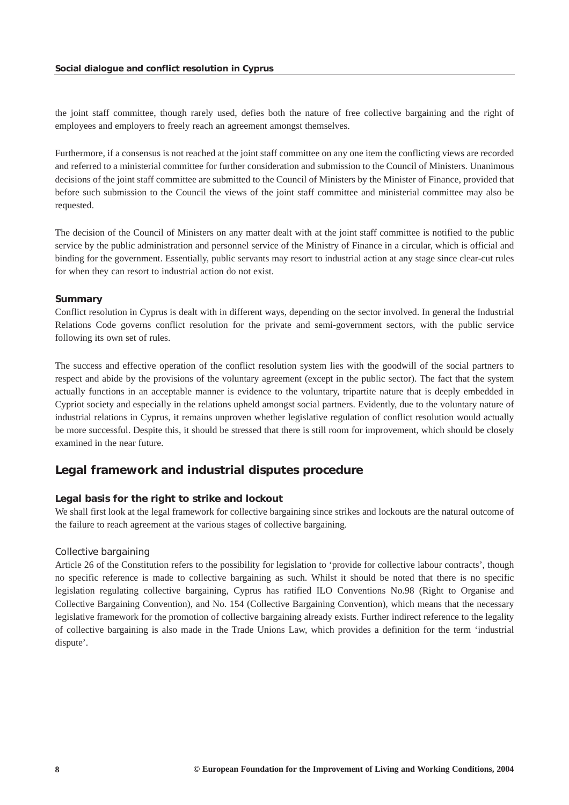<span id="page-8-0"></span>the joint staff committee, though rarely used, defies both the nature of free collective bargaining and the right of employees and employers to freely reach an agreement amongst themselves.

Furthermore, if a consensus is not reached at the joint staff committee on any one item the conflicting views are recorded and referred to a ministerial committee for further consideration and submission to the Council of Ministers. Unanimous decisions of the joint staff committee are submitted to the Council of Ministers by the Minister of Finance, provided that before such submission to the Council the views of the joint staff committee and ministerial committee may also be requested.

The decision of the Council of Ministers on any matter dealt with at the joint staff committee is notified to the public service by the public administration and personnel service of the Ministry of Finance in a circular, which is official and binding for the government. Essentially, public servants may resort to industrial action at any stage since clear-cut rules for when they can resort to industrial action do not exist.

#### *Summary*

Conflict resolution in Cyprus is dealt with in different ways, depending on the sector involved. In general the Industrial Relations Code governs conflict resolution for the private and semi-government sectors, with the public service following its own set of rules.

The success and effective operation of the conflict resolution system lies with the goodwill of the social partners to respect and abide by the provisions of the voluntary agreement (except in the public sector). The fact that the system actually functions in an acceptable manner is evidence to the voluntary, tripartite nature that is deeply embedded in Cypriot society and especially in the relations upheld amongst social partners. Evidently, due to the voluntary nature of industrial relations in Cyprus, it remains unproven whether legislative regulation of conflict resolution would actually be more successful. Despite this, it should be stressed that there is still room for improvement, which should be closely examined in the near future.

# *Legal framework and industrial disputes procedure*

#### *Legal basis for the right to strike and lockout*

We shall first look at the legal framework for collective bargaining since strikes and lockouts are the natural outcome of the failure to reach agreement at the various stages of collective bargaining.

#### *Collective bargaining*

Article 26 of the Constitution refers to the possibility for legislation to 'provide for collective labour contracts', though no specific reference is made to collective bargaining as such. Whilst it should be noted that there is no specific legislation regulating collective bargaining, Cyprus has ratified ILO Conventions No.98 (Right to Organise and Collective Bargaining Convention), and No. 154 (Collective Bargaining Convention), which means that the necessary legislative framework for the promotion of collective bargaining already exists. Further indirect reference to the legality of collective bargaining is also made in the Trade Unions Law, which provides a definition for the term 'industrial dispute'.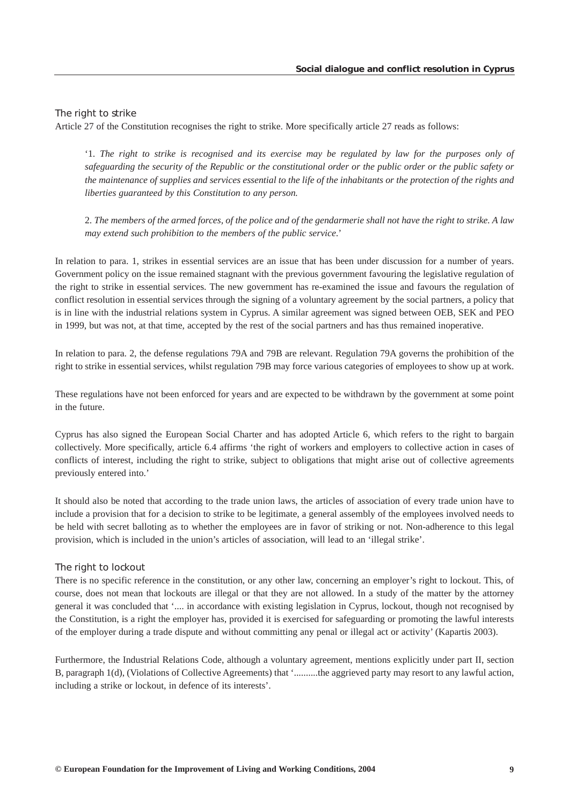### *The right to strike*

Article 27 of the Constitution recognises the right to strike. More specifically article 27 reads as follows:

'1. *The right to strike is recognised and its exercise may be regulated by law for the purposes only of safeguarding the security of the Republic or the constitutional order or the public order or the public safety or the maintenance of supplies and services essential to the life of the inhabitants or the protection of the rights and liberties guaranteed by this Constitution to any person.*

2. *The members of the armed forces, of the police and of the gendarmerie shall not have the right to strike. A law may extend such prohibition to the members of the public service*.'

In relation to para. 1, strikes in essential services are an issue that has been under discussion for a number of years. Government policy on the issue remained stagnant with the previous government favouring the legislative regulation of the right to strike in essential services. The new government has re-examined the issue and favours the regulation of conflict resolution in essential services through the signing of a voluntary agreement by the social partners, a policy that is in line with the industrial relations system in Cyprus. A similar agreement was signed between OEB, SEK and PEO in 1999, but was not, at that time, accepted by the rest of the social partners and has thus remained inoperative.

In relation to para. 2, the defense regulations 79A and 79B are relevant. Regulation 79A governs the prohibition of the right to strike in essential services, whilst regulation 79B may force various categories of employees to show up at work.

These regulations have not been enforced for years and are expected to be withdrawn by the government at some point in the future.

Cyprus has also signed the European Social Charter and has adopted Article 6, which refers to the right to bargain collectively. More specifically, article 6.4 affirms 'the right of workers and employers to collective action in cases of conflicts of interest, including the right to strike, subject to obligations that might arise out of collective agreements previously entered into.'

It should also be noted that according to the trade union laws, the articles of association of every trade union have to include a provision that for a decision to strike to be legitimate, a general assembly of the employees involved needs to be held with secret balloting as to whether the employees are in favor of striking or not. Non-adherence to this legal provision, which is included in the union's articles of association, will lead to an 'illegal strike'.

#### *The right to lockout*

There is no specific reference in the constitution, or any other law, concerning an employer's right to lockout. This, of course, does not mean that lockouts are illegal or that they are not allowed. In a study of the matter by the attorney general it was concluded that '.... in accordance with existing legislation in Cyprus, lockout, though not recognised by the Constitution, is a right the employer has, provided it is exercised for safeguarding or promoting the lawful interests of the employer during a trade dispute and without committing any penal or illegal act or activity' (Kapartis 2003).

Furthermore, the Industrial Relations Code, although a voluntary agreement, mentions explicitly under part II, section B, paragraph 1(d), (Violations of Collective Agreements) that '..........the aggrieved party may resort to any lawful action, including a strike or lockout, in defence of its interests'.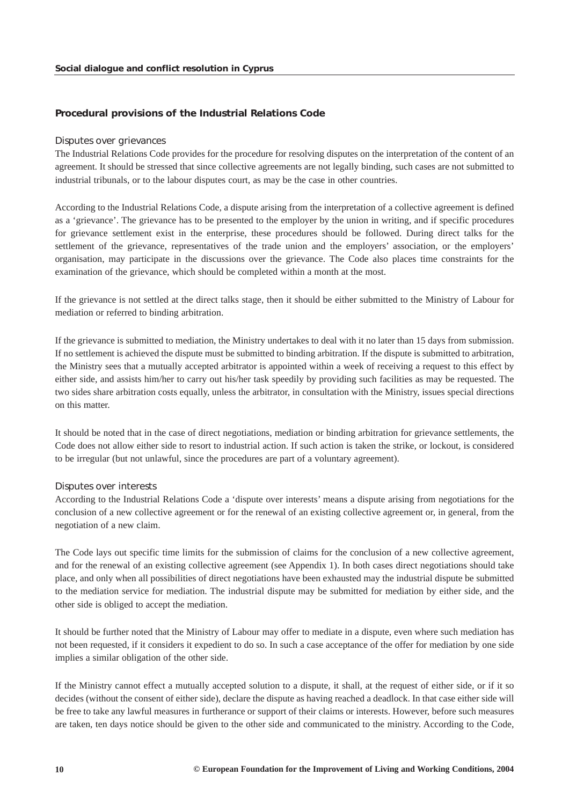# *Procedural provisions of the Industrial Relations Code*

#### *Disputes over grievances*

The Industrial Relations Code provides for the procedure for resolving disputes on the interpretation of the content of an agreement. It should be stressed that since collective agreements are not legally binding, such cases are not submitted to industrial tribunals, or to the labour disputes court, as may be the case in other countries.

According to the Industrial Relations Code, a dispute arising from the interpretation of a collective agreement is defined as a 'grievance'. The grievance has to be presented to the employer by the union in writing, and if specific procedures for grievance settlement exist in the enterprise, these procedures should be followed. During direct talks for the settlement of the grievance, representatives of the trade union and the employers' association, or the employers' organisation, may participate in the discussions over the grievance. The Code also places time constraints for the examination of the grievance, which should be completed within a month at the most.

If the grievance is not settled at the direct talks stage, then it should be either submitted to the Ministry of Labour for mediation or referred to binding arbitration.

If the grievance is submitted to mediation, the Ministry undertakes to deal with it no later than 15 days from submission. If no settlement is achieved the dispute must be submitted to binding arbitration. If the dispute is submitted to arbitration, the Ministry sees that a mutually accepted arbitrator is appointed within a week of receiving a request to this effect by either side, and assists him/her to carry out his/her task speedily by providing such facilities as may be requested. The two sides share arbitration costs equally, unless the arbitrator, in consultation with the Ministry, issues special directions on this matter.

It should be noted that in the case of direct negotiations, mediation or binding arbitration for grievance settlements, the Code does not allow either side to resort to industrial action. If such action is taken the strike, or lockout, is considered to be irregular (but not unlawful, since the procedures are part of a voluntary agreement).

#### *Disputes over interests*

According to the Industrial Relations Code a 'dispute over interests' means a dispute arising from negotiations for the conclusion of a new collective agreement or for the renewal of an existing collective agreement or, in general, from the negotiation of a new claim.

The Code lays out specific time limits for the submission of claims for the conclusion of a new collective agreement, and for the renewal of an existing collective agreement (see Appendix 1). In both cases direct negotiations should take place, and only when all possibilities of direct negotiations have been exhausted may the industrial dispute be submitted to the mediation service for mediation. The industrial dispute may be submitted for mediation by either side, and the other side is obliged to accept the mediation.

It should be further noted that the Ministry of Labour may offer to mediate in a dispute, even where such mediation has not been requested, if it considers it expedient to do so. In such a case acceptance of the offer for mediation by one side implies a similar obligation of the other side.

If the Ministry cannot effect a mutually accepted solution to a dispute, it shall, at the request of either side, or if it so decides (without the consent of either side), declare the dispute as having reached a deadlock. In that case either side will be free to take any lawful measures in furtherance or support of their claims or interests. However, before such measures are taken, ten days notice should be given to the other side and communicated to the ministry. According to the Code,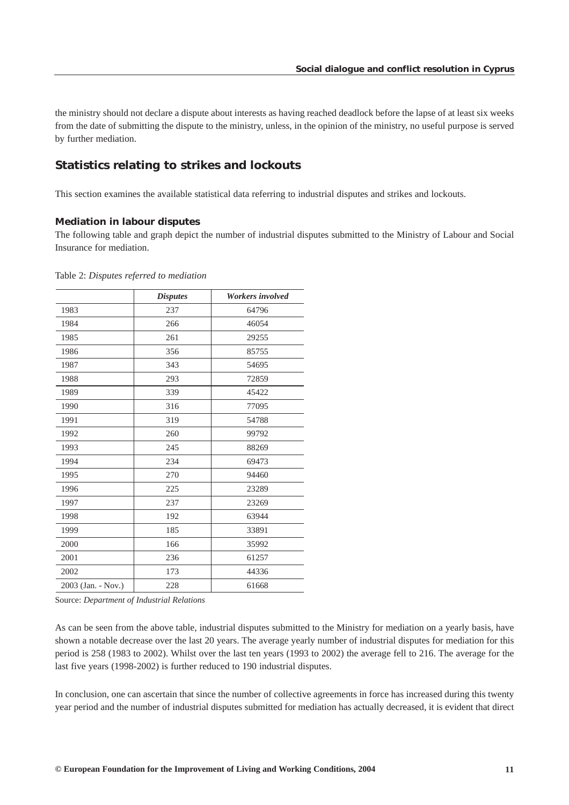<span id="page-11-0"></span>the ministry should not declare a dispute about interests as having reached deadlock before the lapse of at least six weeks from the date of submitting the dispute to the ministry, unless, in the opinion of the ministry, no useful purpose is served by further mediation.

# *Statistics relating to strikes and lockouts*

This section examines the available statistical data referring to industrial disputes and strikes and lockouts.

#### *Mediation in labour disputes*

The following table and graph depict the number of industrial disputes submitted to the Ministry of Labour and Social Insurance for mediation.

|                    | <b>Disputes</b> | Workers involved |
|--------------------|-----------------|------------------|
| 1983               | 237             | 64796            |
| 1984               | 266             | 46054            |
| 1985               | 261             | 29255            |
| 1986               | 356             | 85755            |
| 1987               | 343             | 54695            |
| 1988               | 293             | 72859            |
| 1989               | 339             | 45422            |
| 1990               | 316             | 77095            |
| 1991               | 319             | 54788            |
| 1992               | 260             | 99792            |
| 1993               | 245             | 88269            |
| 1994               | 234             | 69473            |
| 1995               | 270             | 94460            |
| 1996               | 225             | 23289            |
| 1997               | 237             | 23269            |
| 1998               | 192             | 63944            |
| 1999               | 185             | 33891            |
| 2000               | 166             | 35992            |
| 2001               | 236             | 61257            |
| 2002               | 173             | 44336            |
| 2003 (Jan. - Nov.) | 228             | 61668            |

Table 2: *Disputes referred to mediation*

Source: *Department of Industrial Relations*

As can be seen from the above table, industrial disputes submitted to the Ministry for mediation on a yearly basis, have shown a notable decrease over the last 20 years. The average yearly number of industrial disputes for mediation for this period is 258 (1983 to 2002). Whilst over the last ten years (1993 to 2002) the average fell to 216. The average for the last five years (1998-2002) is further reduced to 190 industrial disputes.

In conclusion, one can ascertain that since the number of collective agreements in force has increased during this twenty year period and the number of industrial disputes submitted for mediation has actually decreased, it is evident that direct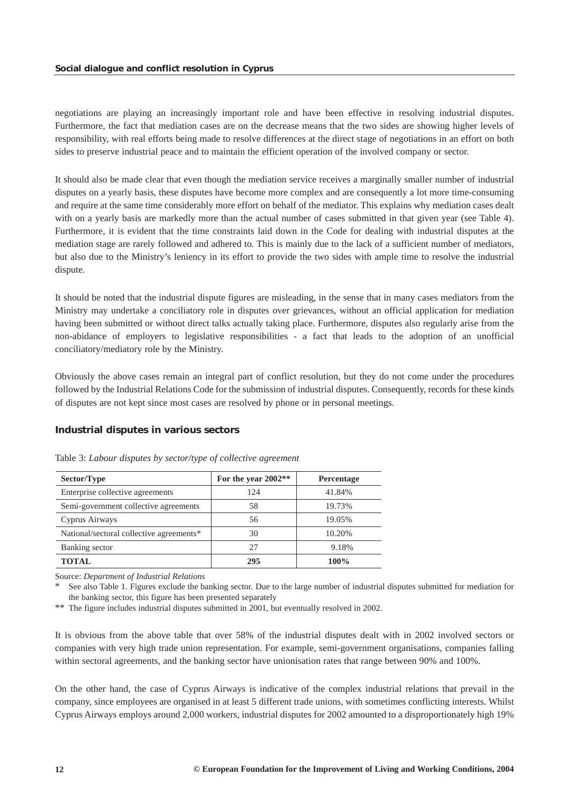negotiations are playing an increasingly important role and have been effective in resolving industrial disputes. Furthermore, the fact that mediation cases are on the decrease means that the two sides are showing higher levels of responsibility, with real efforts being made to resolve differences at the direct stage of negotiations in an effort on both sides to preserve industrial peace and to maintain the efficient operation of the involved company or sector.

It should also be made clear that even though the mediation service receives a marginally smaller number of industrial disputes on a yearly basis, these disputes have become more complex and are consequently a lot more time-consuming and require at the same time considerably more effort on behalf of the mediator. This explains why mediation cases dealt with on a yearly basis are markedly more than the actual number of cases submitted in that given year (see Table 4). Furthermore, it is evident that the time constraints laid down in the Code for dealing with industrial disputes at the mediation stage are rarely followed and adhered to. This is mainly due to the lack of a sufficient number of mediators, but also due to the Ministry's leniency in its effort to provide the two sides with ample time to resolve the industrial dispute.

It should be noted that the industrial dispute figures are misleading, in the sense that in many cases mediators from the Ministry may undertake a conciliatory role in disputes over grievances, without an official application for mediation having been submitted or without direct talks actually taking place. Furthermore, disputes also regularly arise from the non-abidance of employers to legislative responsibilities - a fact that leads to the adoption of an unofficial conciliatory/mediatory role by the Ministry.

Obviously the above cases remain an integral part of conflict resolution, but they do not come under the procedures followed by the Industrial Relations Code for the submission of industrial disputes. Consequently, records for these kinds of disputes are not kept since most cases are resolved by phone or in personal meetings.

# *Industrial disputes in various sectors*

| Sector/Type                              | For the year 2002** | Percentage |
|------------------------------------------|---------------------|------------|
| Enterprise collective agreements         | 124                 | 41.84%     |
| Semi-government collective agreements    | 58                  | 19.73%     |
| Cyprus Airways                           | 56                  | 19.05%     |
| National/sectoral collective agreements* | 30                  | 10.20%     |
| Banking sector                           | 27                  | 9.18%      |
| TOTAL                                    | 295                 | 100%       |

Table 3: *Labour disputes by sector/type of collective agreement*

Source: *Department of Industrial Relations*

See also Table 1. Figures exclude the banking sector. Due to the large number of industrial disputes submitted for mediation for the banking sector, this figure has been presented separately

\*\* The figure includes industrial disputes submitted in 2001, but eventually resolved in 2002.

It is obvious from the above table that over 58% of the industrial disputes dealt with in 2002 involved sectors or companies with very high trade union representation. For example, semi-government organisations, companies falling within sectoral agreements, and the banking sector have unionisation rates that range between 90% and 100%.

On the other hand, the case of Cyprus Airways is indicative of the complex industrial relations that prevail in the company, since employees are organised in at least 5 different trade unions, with sometimes conflicting interests. Whilst Cyprus Airways employs around 2,000 workers, industrial disputes for 2002 amounted to a disproportionately high 19%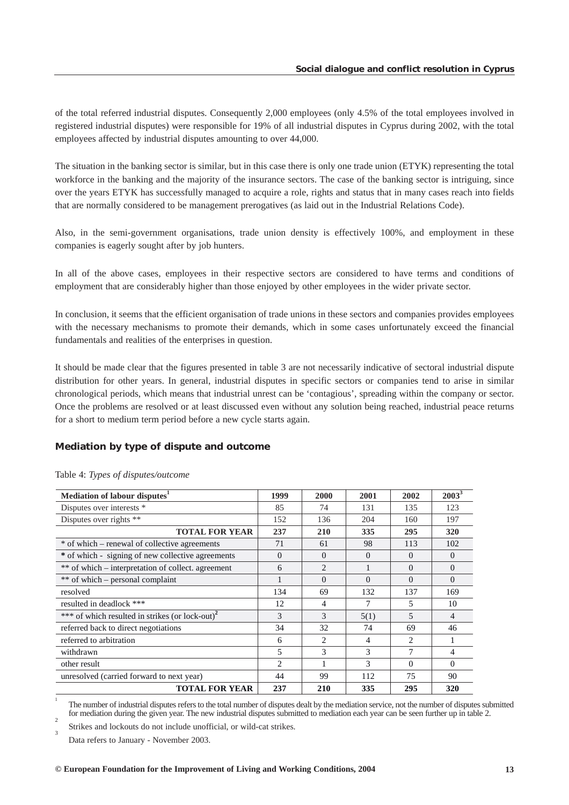of the total referred industrial disputes. Consequently 2,000 employees (only 4.5% of the total employees involved in registered industrial disputes) were responsible for 19% of all industrial disputes in Cyprus during 2002, with the total employees affected by industrial disputes amounting to over 44,000.

The situation in the banking sector is similar, but in this case there is only one trade union (ETYK) representing the total workforce in the banking and the majority of the insurance sectors. The case of the banking sector is intriguing, since over the years ETYK has successfully managed to acquire a role, rights and status that in many cases reach into fields that are normally considered to be management prerogatives (as laid out in the Industrial Relations Code).

Also, in the semi-government organisations, trade union density is effectively 100%, and employment in these companies is eagerly sought after by job hunters.

In all of the above cases, employees in their respective sectors are considered to have terms and conditions of employment that are considerably higher than those enjoyed by other employees in the wider private sector.

In conclusion, it seems that the efficient organisation of trade unions in these sectors and companies provides employees with the necessary mechanisms to promote their demands, which in some cases unfortunately exceed the financial fundamentals and realities of the enterprises in question.

It should be made clear that the figures presented in table 3 are not necessarily indicative of sectoral industrial dispute distribution for other years. In general, industrial disputes in specific sectors or companies tend to arise in similar chronological periods, which means that industrial unrest can be 'contagious', spreading within the company or sector. Once the problems are resolved or at least discussed even without any solution being reached, industrial peace returns for a short to medium term period before a new cycle starts again.

# *Mediation by type of dispute and outcome*

| Mediation of labour disputes <sup>1</sup>                   | 1999     | 2000           | 2001     | 2002           | $2003^3$ |
|-------------------------------------------------------------|----------|----------------|----------|----------------|----------|
| Disputes over interests *                                   | 85       | 74             | 131      | 135            | 123      |
| Disputes over rights **                                     | 152      | 136            | 204      | 160            | 197      |
| <b>TOTAL FOR YEAR</b>                                       | 237      | 210            | 335      | 295            | 320      |
| * of which – renewal of collective agreements               | 71       | 61             | 98       | 113            | 102      |
| * of which - signing of new collective agreements           | $\Omega$ | $\Omega$       | $\Omega$ | $\Omega$       | $\Omega$ |
| ** of which – interpretation of collect. agreement          | 6        | $\overline{2}$ |          | $\Omega$       | $\Omega$ |
| ** of which – personal complaint                            |          | $\Omega$       | $\Omega$ | $\Omega$       | $\Omega$ |
| resolved                                                    | 134      | 69             | 132      | 137            | 169      |
| resulted in deadlock ***                                    | 12       | 4              | 7        | 5              | 10       |
| *** of which resulted in strikes (or lock-out) <sup>2</sup> | 3        | 3              | 5(1)     | $\overline{5}$ | 4        |
| referred back to direct negotiations                        | 34       | 32             | 74       | 69             | 46       |
| referred to arbitration                                     | 6        | $\mathfrak{D}$ | 4        | $\mathfrak{D}$ |          |
| withdrawn                                                   | 5        | 3              | 3        | 7              | 4        |
| other result                                                | 2        | 1              | 3        | $\Omega$       | $\Omega$ |
| unresolved (carried forward to next year)                   | 44       | 99             | 112      | 75             | 90       |
| <b>TOTAL FOR YEAR</b>                                       | 237      | 210            | 335      | 295            | 320      |

Table 4: *Types of disputes/outcome*

1 The number of industrial disputes refers to the total number of disputes dealt by the mediation service, not the number of disputes submitted for mediation during the given year. The new industrial disputes submitted to mediation each year can be seen further up in table 2.

Strikes and lockouts do not include unofficial, or wild-cat strikes.

Data refers to January - November 2003.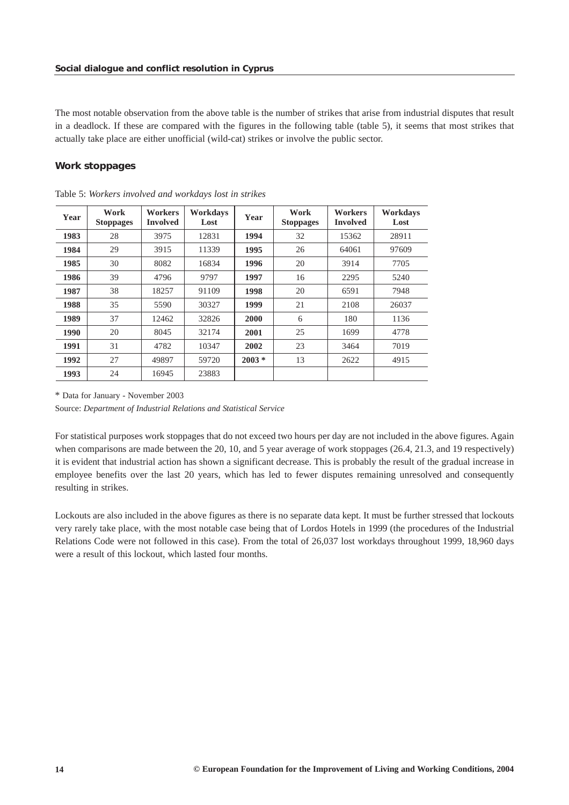The most notable observation from the above table is the number of strikes that arise from industrial disputes that result in a deadlock. If these are compared with the figures in the following table (table 5), it seems that most strikes that actually take place are either unofficial (wild-cat) strikes or involve the public sector.

# *Work stoppages*

| Year | Work<br><b>Stoppages</b> | <b>Workers</b><br><b>Involved</b> | Workdays<br>Lost | Year    | Work<br><b>Stoppages</b> | <b>Workers</b><br><b>Involved</b> | Workdays<br>Lost |
|------|--------------------------|-----------------------------------|------------------|---------|--------------------------|-----------------------------------|------------------|
| 1983 | 28                       | 3975                              | 12831            | 1994    | 32                       | 15362                             | 28911            |
| 1984 | 29                       | 3915                              | 11339            | 1995    | 26                       | 64061                             | 97609            |
| 1985 | 30                       | 8082                              | 16834            | 1996    | 20                       | 3914                              | 7705             |
| 1986 | 39                       | 4796                              | 9797             | 1997    | 16                       | 2295                              | 5240             |
| 1987 | 38                       | 18257                             | 91109            | 1998    | 20                       | 6591                              | 7948             |
| 1988 | 35                       | 5590                              | 30327            | 1999    | 21                       | 2108                              | 26037            |
| 1989 | 37                       | 12462                             | 32826            | 2000    | 6                        | 180                               | 1136             |
| 1990 | 20                       | 8045                              | 32174            | 2001    | 25                       | 1699                              | 4778             |
| 1991 | 31                       | 4782                              | 10347            | 2002    | 23                       | 3464                              | 7019             |
| 1992 | 27                       | 49897                             | 59720            | $2003*$ | 13                       | 2622                              | 4915             |
| 1993 | 24                       | 16945                             | 23883            |         |                          |                                   |                  |

Table 5: *Workers involved and workdays lost in strikes*

\* Data for January - November 2003

Source: *Department of Industrial Relations and Statistical Service*

For statistical purposes work stoppages that do not exceed two hours per day are not included in the above figures. Again when comparisons are made between the 20, 10, and 5 year average of work stoppages (26.4, 21.3, and 19 respectively) it is evident that industrial action has shown a significant decrease. This is probably the result of the gradual increase in employee benefits over the last 20 years, which has led to fewer disputes remaining unresolved and consequently resulting in strikes.

Lockouts are also included in the above figures as there is no separate data kept. It must be further stressed that lockouts very rarely take place, with the most notable case being that of Lordos Hotels in 1999 (the procedures of the Industrial Relations Code were not followed in this case). From the total of 26,037 lost workdays throughout 1999, 18,960 days were a result of this lockout, which lasted four months.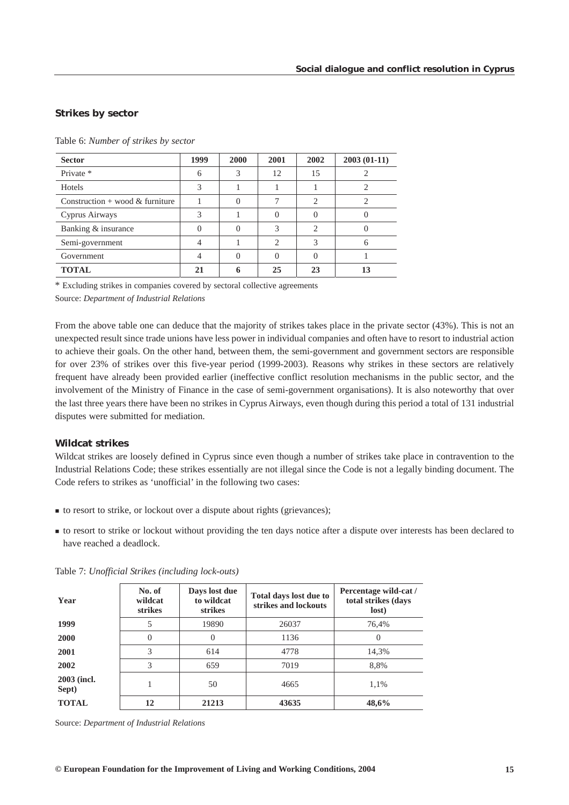# *Strikes by sector*

| <b>Sector</b>                   | 1999 | 2000 | 2001           | 2002                        | $2003(01-11)$ |
|---------------------------------|------|------|----------------|-----------------------------|---------------|
| Private *                       | h    | 3    | 12             | 15                          |               |
| Hotels                          | 3    |      |                |                             | 2             |
| Construction + wood & furniture |      |      | ┑              | $\mathcal{D}_{\mathcal{L}}$ | ာ             |
| Cyprus Airways                  | 3    |      | $\Omega$       |                             |               |
| Banking & insurance             |      |      | 3              | $\mathcal{D}_{\mathcal{L}}$ |               |
| Semi-government                 |      |      | $\overline{2}$ | 3                           | h             |
| Government                      |      |      | 0              |                             |               |
| <b>TOTAL</b>                    | 21   | h    | 25             | 23                          | 13            |

Table 6: *Number of strikes by sector*

\* Excluding strikes in companies covered by sectoral collective agreements

Source: *Department of Industrial Relations*

From the above table one can deduce that the majority of strikes takes place in the private sector (43%). This is not an unexpected result since trade unions have less power in individual companies and often have to resort to industrial action to achieve their goals. On the other hand, between them, the semi-government and government sectors are responsible for over 23% of strikes over this five-year period (1999-2003). Reasons why strikes in these sectors are relatively frequent have already been provided earlier (ineffective conflict resolution mechanisms in the public sector, and the involvement of the Ministry of Finance in the case of semi-government organisations). It is also noteworthy that over the last three years there have been no strikes in Cyprus Airways, even though during this period a total of 131 industrial disputes were submitted for mediation.

# *Wildcat strikes*

Wildcat strikes are loosely defined in Cyprus since even though a number of strikes take place in contravention to the Industrial Relations Code; these strikes essentially are not illegal since the Code is not a legally binding document. The Code refers to strikes as 'unofficial' in the following two cases:

- to resort to strike, or lockout over a dispute about rights (grievances);
- to resort to strike or lockout without providing the ten days notice after a dispute over interests has been declared to have reached a deadlock.

| Year                 | No. of<br>wildcat<br><b>strikes</b> | Days lost due<br>to wildcat<br>strikes | Total days lost due to<br>strikes and lockouts | Percentage wild-cat /<br>total strikes (days<br>lost) |
|----------------------|-------------------------------------|----------------------------------------|------------------------------------------------|-------------------------------------------------------|
| 1999                 | 5                                   | 19890                                  | 26037                                          | 76,4%                                                 |
| 2000                 | $\theta$                            | $\Omega$                               | 1136                                           | $\Omega$                                              |
| 2001                 | 3                                   | 614                                    | 4778                                           | 14,3%                                                 |
| 2002                 | 3                                   | 659                                    | 7019                                           | 8,8%                                                  |
| 2003 (incl.<br>Sept) |                                     | 50                                     | 4665                                           | 1,1%                                                  |
| <b>TOTAL</b>         | 12                                  | 21213                                  | 43635                                          | 48,6%                                                 |

Table 7: *Unofficial Strikes (including lock-outs)*

Source: *Department of Industrial Relations*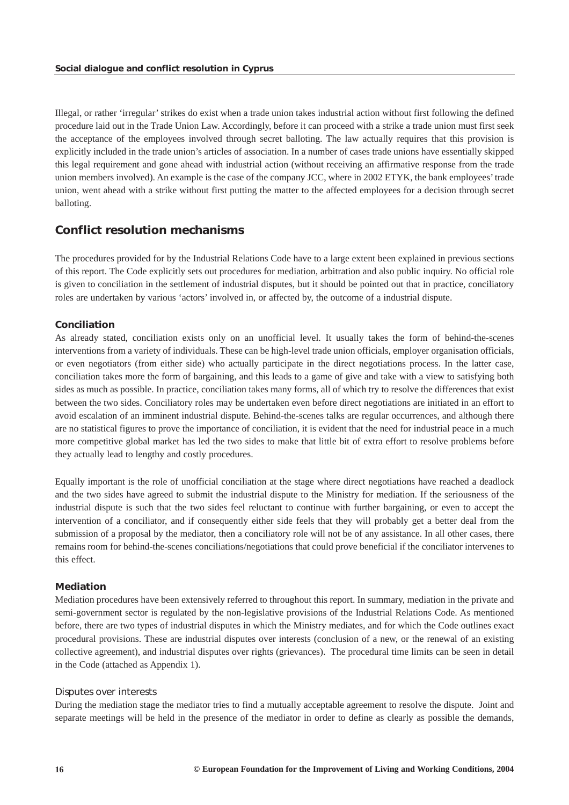<span id="page-16-0"></span>Illegal, or rather 'irregular' strikes do exist when a trade union takes industrial action without first following the defined procedure laid out in the Trade Union Law. Accordingly, before it can proceed with a strike a trade union must first seek the acceptance of the employees involved through secret balloting. The law actually requires that this provision is explicitly included in the trade union's articles of association. In a number of cases trade unions have essentially skipped this legal requirement and gone ahead with industrial action (without receiving an affirmative response from the trade union members involved). An example is the case of the company JCC, where in 2002 ETYK, the bank employees' trade union, went ahead with a strike without first putting the matter to the affected employees for a decision through secret balloting.

# *Conflict resolution mechanisms*

The procedures provided for by the Industrial Relations Code have to a large extent been explained in previous sections of this report. The Code explicitly sets out procedures for mediation, arbitration and also public inquiry. No official role is given to conciliation in the settlement of industrial disputes, but it should be pointed out that in practice, conciliatory roles are undertaken by various 'actors' involved in, or affected by, the outcome of a industrial dispute.

## *Conciliation*

As already stated, conciliation exists only on an unofficial level. It usually takes the form of behind-the-scenes interventions from a variety of individuals. These can be high-level trade union officials, employer organisation officials, or even negotiators (from either side) who actually participate in the direct negotiations process. In the latter case, conciliation takes more the form of bargaining, and this leads to a game of give and take with a view to satisfying both sides as much as possible. In practice, conciliation takes many forms, all of which try to resolve the differences that exist between the two sides. Conciliatory roles may be undertaken even before direct negotiations are initiated in an effort to avoid escalation of an imminent industrial dispute. Behind-the-scenes talks are regular occurrences, and although there are no statistical figures to prove the importance of conciliation, it is evident that the need for industrial peace in a much more competitive global market has led the two sides to make that little bit of extra effort to resolve problems before they actually lead to lengthy and costly procedures.

Equally important is the role of unofficial conciliation at the stage where direct negotiations have reached a deadlock and the two sides have agreed to submit the industrial dispute to the Ministry for mediation. If the seriousness of the industrial dispute is such that the two sides feel reluctant to continue with further bargaining, or even to accept the intervention of a conciliator, and if consequently either side feels that they will probably get a better deal from the submission of a proposal by the mediator, then a conciliatory role will not be of any assistance. In all other cases, there remains room for behind-the-scenes conciliations/negotiations that could prove beneficial if the conciliator intervenes to this effect.

## *Mediation*

Mediation procedures have been extensively referred to throughout this report. In summary, mediation in the private and semi-government sector is regulated by the non-legislative provisions of the Industrial Relations Code. As mentioned before, there are two types of industrial disputes in which the Ministry mediates, and for which the Code outlines exact procedural provisions. These are industrial disputes over interests (conclusion of a new, or the renewal of an existing collective agreement), and industrial disputes over rights (grievances). The procedural time limits can be seen in detail in the Code (attached as Appendix 1).

### *Disputes over interests*

During the mediation stage the mediator tries to find a mutually acceptable agreement to resolve the dispute. Joint and separate meetings will be held in the presence of the mediator in order to define as clearly as possible the demands,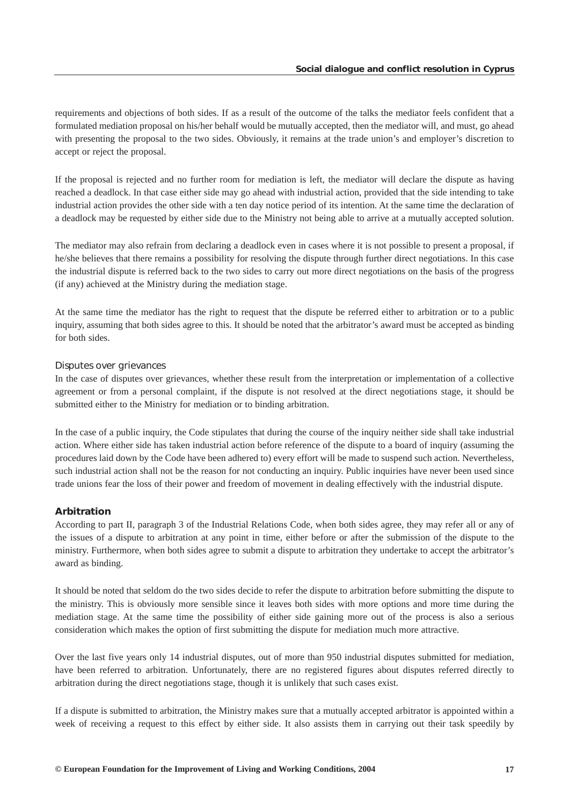requirements and objections of both sides. If as a result of the outcome of the talks the mediator feels confident that a formulated mediation proposal on his/her behalf would be mutually accepted, then the mediator will, and must, go ahead with presenting the proposal to the two sides. Obviously, it remains at the trade union's and employer's discretion to accept or reject the proposal.

If the proposal is rejected and no further room for mediation is left, the mediator will declare the dispute as having reached a deadlock. In that case either side may go ahead with industrial action, provided that the side intending to take industrial action provides the other side with a ten day notice period of its intention. At the same time the declaration of a deadlock may be requested by either side due to the Ministry not being able to arrive at a mutually accepted solution.

The mediator may also refrain from declaring a deadlock even in cases where it is not possible to present a proposal, if he/she believes that there remains a possibility for resolving the dispute through further direct negotiations. In this case the industrial dispute is referred back to the two sides to carry out more direct negotiations on the basis of the progress (if any) achieved at the Ministry during the mediation stage.

At the same time the mediator has the right to request that the dispute be referred either to arbitration or to a public inquiry, assuming that both sides agree to this. It should be noted that the arbitrator's award must be accepted as binding for both sides.

#### *Disputes over grievances*

In the case of disputes over grievances, whether these result from the interpretation or implementation of a collective agreement or from a personal complaint, if the dispute is not resolved at the direct negotiations stage, it should be submitted either to the Ministry for mediation or to binding arbitration.

In the case of a public inquiry, the Code stipulates that during the course of the inquiry neither side shall take industrial action. Where either side has taken industrial action before reference of the dispute to a board of inquiry (assuming the procedures laid down by the Code have been adhered to) every effort will be made to suspend such action. Nevertheless, such industrial action shall not be the reason for not conducting an inquiry. Public inquiries have never been used since trade unions fear the loss of their power and freedom of movement in dealing effectively with the industrial dispute.

#### *Arbitration*

According to part II, paragraph 3 of the Industrial Relations Code, when both sides agree, they may refer all or any of the issues of a dispute to arbitration at any point in time, either before or after the submission of the dispute to the ministry. Furthermore, when both sides agree to submit a dispute to arbitration they undertake to accept the arbitrator's award as binding.

It should be noted that seldom do the two sides decide to refer the dispute to arbitration before submitting the dispute to the ministry. This is obviously more sensible since it leaves both sides with more options and more time during the mediation stage. At the same time the possibility of either side gaining more out of the process is also a serious consideration which makes the option of first submitting the dispute for mediation much more attractive.

Over the last five years only 14 industrial disputes, out of more than 950 industrial disputes submitted for mediation, have been referred to arbitration. Unfortunately, there are no registered figures about disputes referred directly to arbitration during the direct negotiations stage, though it is unlikely that such cases exist.

If a dispute is submitted to arbitration, the Ministry makes sure that a mutually accepted arbitrator is appointed within a week of receiving a request to this effect by either side. It also assists them in carrying out their task speedily by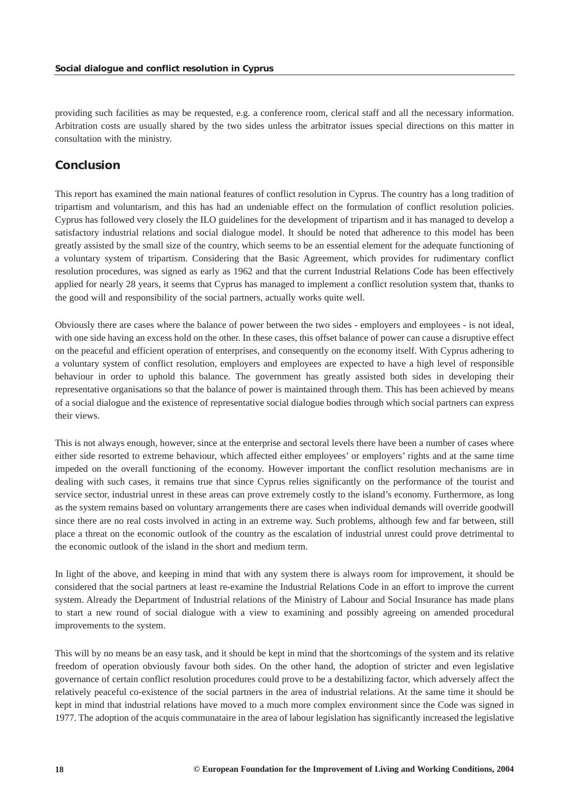<span id="page-18-0"></span>providing such facilities as may be requested, e.g. a conference room, clerical staff and all the necessary information. Arbitration costs are usually shared by the two sides unless the arbitrator issues special directions on this matter in consultation with the ministry.

# *Conclusion*

This report has examined the main national features of conflict resolution in Cyprus. The country has a long tradition of tripartism and voluntarism, and this has had an undeniable effect on the formulation of conflict resolution policies. Cyprus has followed very closely the ILO guidelines for the development of tripartism and it has managed to develop a satisfactory industrial relations and social dialogue model. It should be noted that adherence to this model has been greatly assisted by the small size of the country, which seems to be an essential element for the adequate functioning of a voluntary system of tripartism. Considering that the Basic Agreement, which provides for rudimentary conflict resolution procedures, was signed as early as 1962 and that the current Industrial Relations Code has been effectively applied for nearly 28 years, it seems that Cyprus has managed to implement a conflict resolution system that, thanks to the good will and responsibility of the social partners, actually works quite well.

Obviously there are cases where the balance of power between the two sides - employers and employees - is not ideal, with one side having an excess hold on the other. In these cases, this offset balance of power can cause a disruptive effect on the peaceful and efficient operation of enterprises, and consequently on the economy itself. With Cyprus adhering to a voluntary system of conflict resolution, employers and employees are expected to have a high level of responsible behaviour in order to uphold this balance. The government has greatly assisted both sides in developing their representative organisations so that the balance of power is maintained through them. This has been achieved by means of a social dialogue and the existence of representative social dialogue bodies through which social partners can express their views.

This is not always enough, however, since at the enterprise and sectoral levels there have been a number of cases where either side resorted to extreme behaviour, which affected either employees' or employers' rights and at the same time impeded on the overall functioning of the economy. However important the conflict resolution mechanisms are in dealing with such cases, it remains true that since Cyprus relies significantly on the performance of the tourist and service sector, industrial unrest in these areas can prove extremely costly to the island's economy. Furthermore, as long as the system remains based on voluntary arrangements there are cases when individual demands will override goodwill since there are no real costs involved in acting in an extreme way. Such problems, although few and far between, still place a threat on the economic outlook of the country as the escalation of industrial unrest could prove detrimental to the economic outlook of the island in the short and medium term.

In light of the above, and keeping in mind that with any system there is always room for improvement, it should be considered that the social partners at least re-examine the Industrial Relations Code in an effort to improve the current system. Already the Department of Industrial relations of the Ministry of Labour and Social Insurance has made plans to start a new round of social dialogue with a view to examining and possibly agreeing on amended procedural improvements to the system.

This will by no means be an easy task, and it should be kept in mind that the shortcomings of the system and its relative freedom of operation obviously favour both sides. On the other hand, the adoption of stricter and even legislative governance of certain conflict resolution procedures could prove to be a destabilizing factor, which adversely affect the relatively peaceful co-existence of the social partners in the area of industrial relations. At the same time it should be kept in mind that industrial relations have moved to a much more complex environment since the Code was signed in 1977. The adoption of the acquis communataire in the area of labour legislation has significantly increased the legislative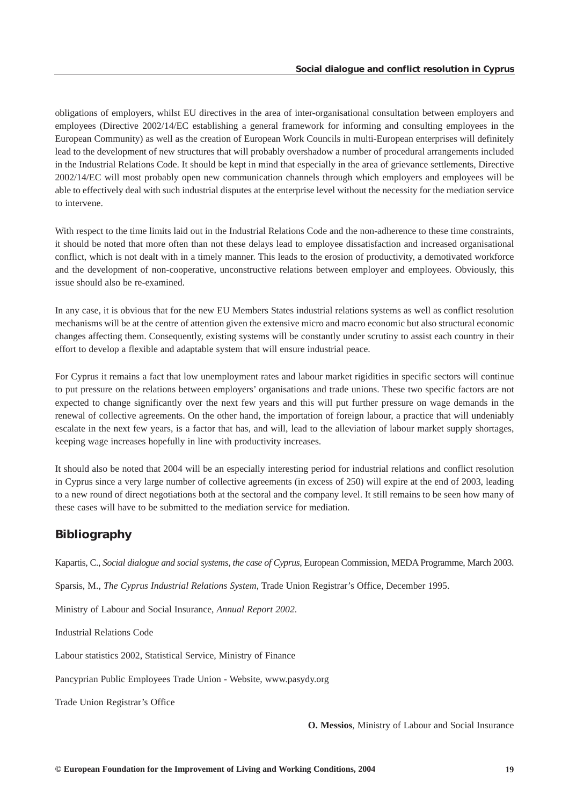<span id="page-19-0"></span>obligations of employers, whilst EU directives in the area of inter-organisational consultation between employers and employees (Directive 2002/14/EC establishing a general framework for informing and consulting employees in the European Community) as well as the creation of European Work Councils in multi-European enterprises will definitely lead to the development of new structures that will probably overshadow a number of procedural arrangements included in the Industrial Relations Code. It should be kept in mind that especially in the area of grievance settlements, Directive 2002/14/EC will most probably open new communication channels through which employers and employees will be able to effectively deal with such industrial disputes at the enterprise level without the necessity for the mediation service to intervene.

With respect to the time limits laid out in the Industrial Relations Code and the non-adherence to these time constraints, it should be noted that more often than not these delays lead to employee dissatisfaction and increased organisational conflict, which is not dealt with in a timely manner. This leads to the erosion of productivity, a demotivated workforce and the development of non-cooperative, unconstructive relations between employer and employees. Obviously, this issue should also be re-examined.

In any case, it is obvious that for the new EU Members States industrial relations systems as well as conflict resolution mechanisms will be at the centre of attention given the extensive micro and macro economic but also structural economic changes affecting them. Consequently, existing systems will be constantly under scrutiny to assist each country in their effort to develop a flexible and adaptable system that will ensure industrial peace.

For Cyprus it remains a fact that low unemployment rates and labour market rigidities in specific sectors will continue to put pressure on the relations between employers' organisations and trade unions. These two specific factors are not expected to change significantly over the next few years and this will put further pressure on wage demands in the renewal of collective agreements. On the other hand, the importation of foreign labour, a practice that will undeniably escalate in the next few years, is a factor that has, and will, lead to the alleviation of labour market supply shortages, keeping wage increases hopefully in line with productivity increases.

It should also be noted that 2004 will be an especially interesting period for industrial relations and conflict resolution in Cyprus since a very large number of collective agreements (in excess of 250) will expire at the end of 2003, leading to a new round of direct negotiations both at the sectoral and the company level. It still remains to be seen how many of these cases will have to be submitted to the mediation service for mediation.

# *Bibliography*

Kapartis, C., *Social dialogue and social systems, the case of Cyprus*, European Commission, MEDA Programme, March 2003.

Sparsis, M., *The Cyprus Industrial Relations System*, Trade Union Registrar's Office, December 1995.

Ministry of Labour and Social Insurance, *Annual Report 2002*.

Industrial Relations Code

Labour statistics 2002, Statistical Service, Ministry of Finance

Pancyprian Public Employees Trade Union - Website, www.pasydy.org

Trade Union Registrar's Office

**O. Messios**, Ministry of Labour and Social Insurance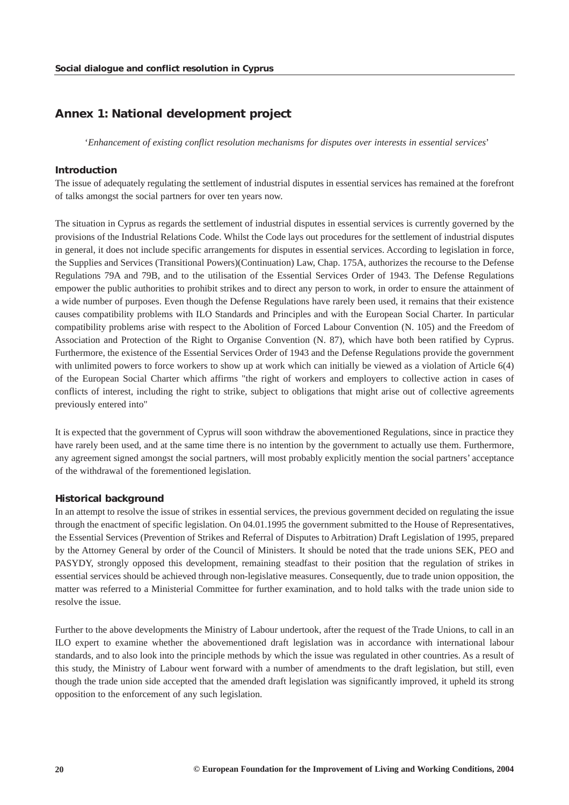# <span id="page-20-0"></span>*Annex 1: National development project*

'*Enhancement of existing conflict resolution mechanisms for disputes over interests in essential services*'

#### *Introduction*

The issue of adequately regulating the settlement of industrial disputes in essential services has remained at the forefront of talks amongst the social partners for over ten years now.

The situation in Cyprus as regards the settlement of industrial disputes in essential services is currently governed by the provisions of the Industrial Relations Code. Whilst the Code lays out procedures for the settlement of industrial disputes in general, it does not include specific arrangements for disputes in essential services. According to legislation in force, the Supplies and Services (Transitional Powers)(Continuation) Law, Chap. 175A, authorizes the recourse to the Defense Regulations 79A and 79B, and to the utilisation of the Essential Services Order of 1943. The Defense Regulations empower the public authorities to prohibit strikes and to direct any person to work, in order to ensure the attainment of a wide number of purposes. Even though the Defense Regulations have rarely been used, it remains that their existence causes compatibility problems with ILO Standards and Principles and with the European Social Charter. In particular compatibility problems arise with respect to the Abolition of Forced Labour Convention (N. 105) and the Freedom of Association and Protection of the Right to Organise Convention (N. 87), which have both been ratified by Cyprus. Furthermore, the existence of the Essential Services Order of 1943 and the Defense Regulations provide the government with unlimited powers to force workers to show up at work which can initially be viewed as a violation of Article 6(4) of the European Social Charter which affirms "the right of workers and employers to collective action in cases of conflicts of interest, including the right to strike, subject to obligations that might arise out of collective agreements previously entered into"

It is expected that the government of Cyprus will soon withdraw the abovementioned Regulations, since in practice they have rarely been used, and at the same time there is no intention by the government to actually use them. Furthermore, any agreement signed amongst the social partners, will most probably explicitly mention the social partners' acceptance of the withdrawal of the forementioned legislation.

#### *Historical background*

In an attempt to resolve the issue of strikes in essential services, the previous government decided on regulating the issue through the enactment of specific legislation. On 04.01.1995 the government submitted to the House of Representatives, the Essential Services (Prevention of Strikes and Referral of Disputes to Arbitration) Draft Legislation of 1995, prepared by the Attorney General by order of the Council of Ministers. It should be noted that the trade unions SEK, PEO and PASYDY, strongly opposed this development, remaining steadfast to their position that the regulation of strikes in essential services should be achieved through non-legislative measures. Consequently, due to trade union opposition, the matter was referred to a Ministerial Committee for further examination, and to hold talks with the trade union side to resolve the issue.

Further to the above developments the Ministry of Labour undertook, after the request of the Trade Unions, to call in an ILO expert to examine whether the abovementioned draft legislation was in accordance with international labour standards, and to also look into the principle methods by which the issue was regulated in other countries. As a result of this study, the Ministry of Labour went forward with a number of amendments to the draft legislation, but still, even though the trade union side accepted that the amended draft legislation was significantly improved, it upheld its strong opposition to the enforcement of any such legislation.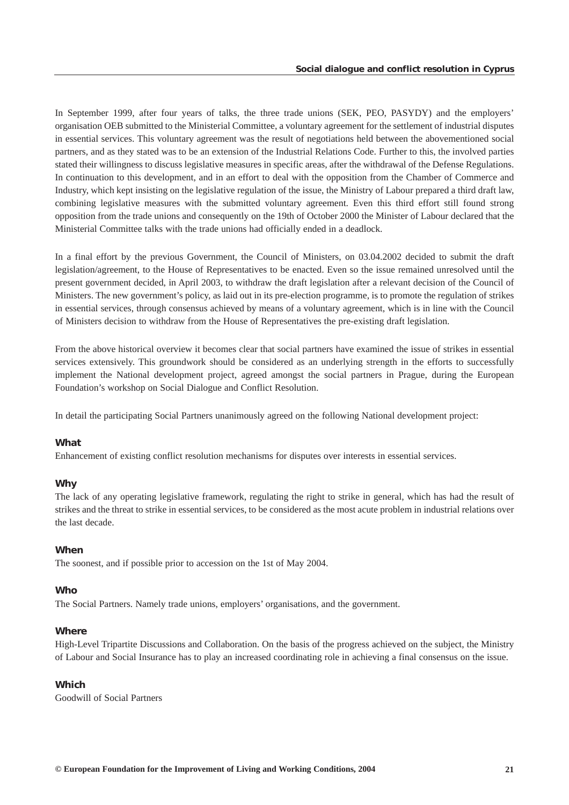In September 1999, after four years of talks, the three trade unions (SEK, PEO, PASYDY) and the employers' organisation OEB submitted to the Ministerial Committee, a voluntary agreement for the settlement of industrial disputes in essential services. This voluntary agreement was the result of negotiations held between the abovementioned social partners, and as they stated was to be an extension of the Industrial Relations Code. Further to this, the involved parties stated their willingness to discuss legislative measures in specific areas, after the withdrawal of the Defense Regulations. In continuation to this development, and in an effort to deal with the opposition from the Chamber of Commerce and Industry, which kept insisting on the legislative regulation of the issue, the Ministry of Labour prepared a third draft law, combining legislative measures with the submitted voluntary agreement. Even this third effort still found strong opposition from the trade unions and consequently on the 19th of October 2000 the Minister of Labour declared that the Ministerial Committee talks with the trade unions had officially ended in a deadlock.

In a final effort by the previous Government, the Council of Ministers, on 03.04.2002 decided to submit the draft legislation/agreement, to the House of Representatives to be enacted. Even so the issue remained unresolved until the present government decided, in April 2003, to withdraw the draft legislation after a relevant decision of the Council of Ministers. The new government's policy, as laid out in its pre-election programme, is to promote the regulation of strikes in essential services, through consensus achieved by means of a voluntary agreement, which is in line with the Council of Ministers decision to withdraw from the House of Representatives the pre-existing draft legislation.

From the above historical overview it becomes clear that social partners have examined the issue of strikes in essential services extensively. This groundwork should be considered as an underlying strength in the efforts to successfully implement the National development project, agreed amongst the social partners in Prague, during the European Foundation's workshop on Social Dialogue and Conflict Resolution.

In detail the participating Social Partners unanimously agreed on the following National development project:

# *What*

Enhancement of existing conflict resolution mechanisms for disputes over interests in essential services.

# *Why*

The lack of any operating legislative framework, regulating the right to strike in general, which has had the result of strikes and the threat to strike in essential services, to be considered as the most acute problem in industrial relations over the last decade.

# *When*

The soonest, and if possible prior to accession on the 1st of May 2004.

### *Who*

The Social Partners. Namely trade unions, employers' organisations, and the government.

## *Where*

High-Level Tripartite Discussions and Collaboration. On the basis of the progress achieved on the subject, the Ministry of Labour and Social Insurance has to play an increased coordinating role in achieving a final consensus on the issue.

# *Which*

Goodwill of Social Partners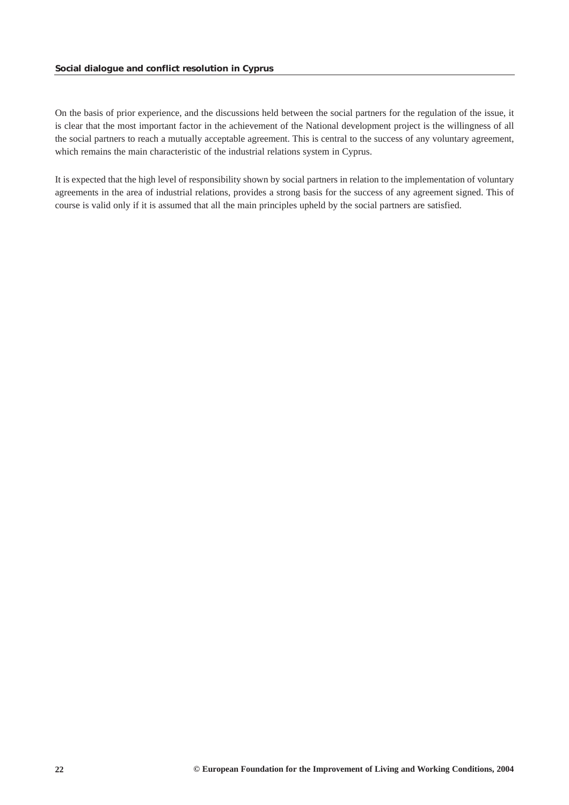On the basis of prior experience, and the discussions held between the social partners for the regulation of the issue, it is clear that the most important factor in the achievement of the National development project is the willingness of all the social partners to reach a mutually acceptable agreement. This is central to the success of any voluntary agreement, which remains the main characteristic of the industrial relations system in Cyprus.

It is expected that the high level of responsibility shown by social partners in relation to the implementation of voluntary agreements in the area of industrial relations, provides a strong basis for the success of any agreement signed. This of course is valid only if it is assumed that all the main principles upheld by the social partners are satisfied.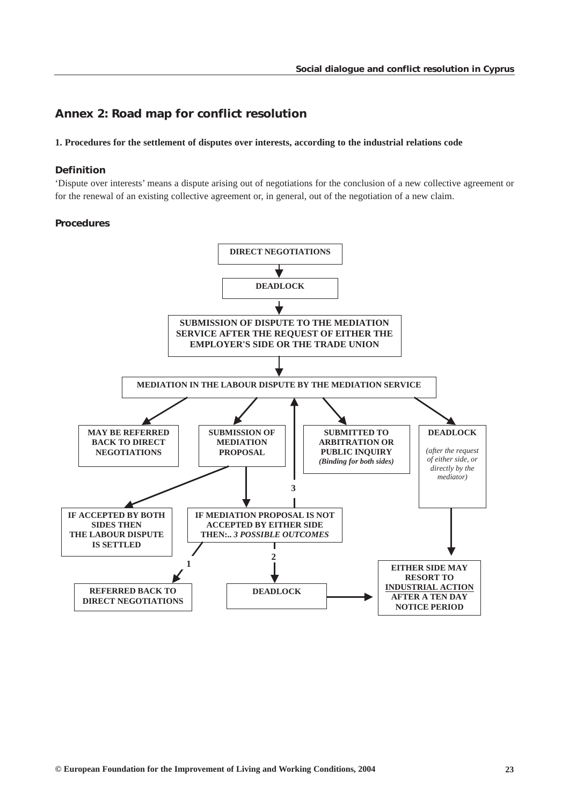# <span id="page-23-0"></span>*Annex 2: Road map for conflict resolution*

## **1. Procedures for the settlement of disputes over interests, according to the industrial relations code**

## *Definition*

'Dispute over interests' means a dispute arising out of negotiations for the conclusion of a new collective agreement or for the renewal of an existing collective agreement or, in general, out of the negotiation of a new claim.

## *Procedures*